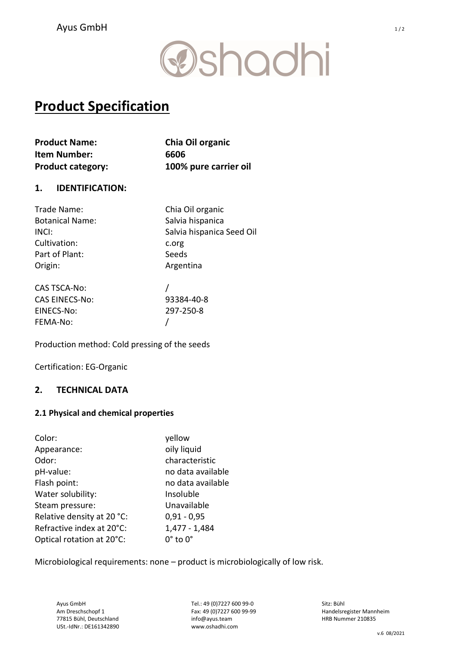# **@shadhi**

# Product Specification

| <b>Product Name:</b>     | Chia Oil organic      |
|--------------------------|-----------------------|
| <b>Item Number:</b>      | 6606                  |
| <b>Product category:</b> | 100% pure carrier oil |

### 1. IDENTIFICATION:

| Trade Name:            | Chia Oil organic          |
|------------------------|---------------------------|
| <b>Botanical Name:</b> | Salvia hispanica          |
| INCI:                  | Salvia hispanica Seed Oil |
| Cultivation:           | c.org                     |
| Part of Plant:         | Seeds                     |
| Origin:                | Argentina                 |
| <b>CAS TSCA-No:</b>    |                           |
| <b>CAS EINECS-No:</b>  | 93384-40-8                |
| EINECS-No:             | 297-250-8                 |
| FEMA-No:               |                           |

Production method: Cold pressing of the seeds

Certification: EG-Organic

### 2. TECHNICAL DATA

#### 2.1 Physical and chemical properties

| Color:                     | yellow                 |
|----------------------------|------------------------|
| Appearance:                | oily liquid            |
| Odor:                      | characteristic         |
| pH-value:                  | no data available      |
| Flash point:               | no data available      |
| Water solubility:          | Insoluble              |
| Steam pressure:            | Unavailable            |
| Relative density at 20 °C: | $0,91 - 0,95$          |
| Refractive index at 20°C:  | 1,477 - 1,484          |
| Optical rotation at 20°C:  | $0^\circ$ to $0^\circ$ |

Microbiological requirements: none – product is microbiologically of low risk.

Tel.: 49 (0)7227 600 99-0 Fax: 49 (0)7227 600 99-99 info@ayus.team www.oshadhi.com